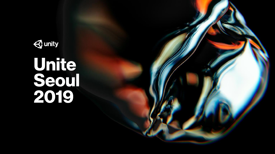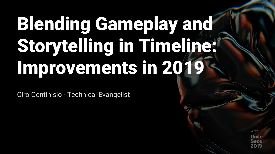# Blending Gameplay and Storytelling in Timeline: Improvements in 2019

Ciro Continisio - Technical Evangelist

**Unite** 5001

← unity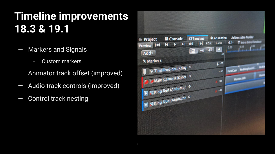### **Timeline improvements 18.3 & 19.1**

- Markers and Signals
	- Custom markers
- Animator track offset (improved)
- Audio track controls (improved)
- Control track nesting

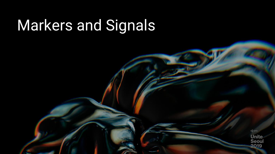# Markers and Signals

 $\triangleleft$  unity **Unite**<br>Seoul 2019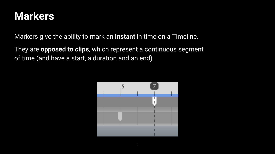#### **Markers**

Markers give the ability to mark an **instant** in time on a Timeline.

They are **opposed to clips**, which represent a continuous segment of time (and have a start, a duration and an end).

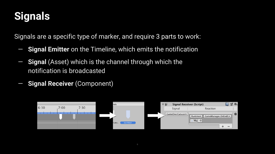### **Signals**

Signals are a specific type of marker, and require 3 parts to work:

- **Signal Emitter** on the Timeline, which emits the notification
- **Signal** (Asset) which is the channel through which the notification is broadcasted
- **Signal Receiver** (Component)

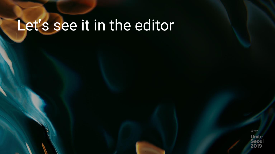# Let's see it in the editor

 $\triangleleft$  unity **Unite Seoul** 2019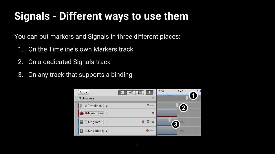### **Signals - Different ways to use them**

You can put markers and Signals in three different places:

- 1. On the Timeline's own Markers track
- 2. On a dedicated Signals track
- 3. On any track that supports a binding

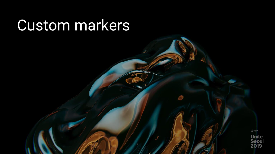### Custom markers

 $\triangle$  unity **Unite<br>Seoul<br>2019**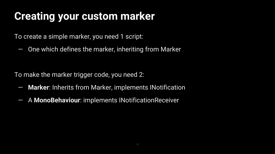### **Creating your custom marker**

To create a simple marker, you need 1 script:

— One which defines the marker, inheriting from Marker

To make the marker trigger code, you need 2:

- **Marker**: Inherits from Marker, implements INotification
- A **MonoBehaviour**: implements INotificationReceiver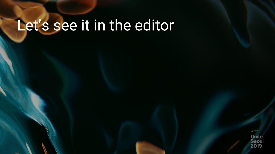# Let's see it in the editor

 $\triangle$  unity **Unite Seoul** 2019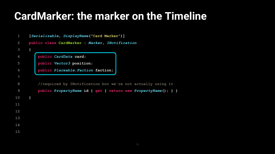#### **CardMarker: the marker on the Timeline**

| $\mathbf{1}$   | [Serializable, DisplayName("Card Marker")] |                                                               |
|----------------|--------------------------------------------|---------------------------------------------------------------|
| 2              |                                            | public class CardMarker : Marker, INotification               |
| $\mathbf{3}$   | $\mathcal{L}$                              |                                                               |
| 4              |                                            | public CardData card;                                         |
| 5              |                                            | public Vector3 position;                                      |
| 6              |                                            | public Placeable. Faction faction;                            |
| 7              |                                            |                                                               |
| 8              |                                            | //required by INotification but we're not actually using it   |
| $\overline{9}$ |                                            | public PropertyName id { get { return new PropertyName(); } } |
| 10             | ł                                          |                                                               |
| 11             |                                            |                                                               |
| 12             |                                            |                                                               |
| 13             |                                            |                                                               |
| 14             |                                            |                                                               |
| 15             |                                            |                                                               |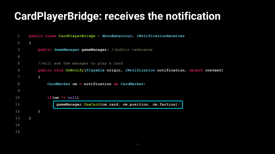#### **CardPlayerBridge: receives the notification**

```
1
 2
 3
 4
 5
 6
 8
 9
10
11
12
13
14
15
      public class CardPlayerBridge : MonoBehaviour, INotificationReceiver
      {
          public GameManager gameManager; //public reference
          //will ask the manager to play a Card
          public void OnNotify(Playable origin, INotification notification, object context)
          {
              CardMarker cm = notification as CardMarker;
              if(cm != null)
                  gameManager.UseCard(cm.card, cm.position, cm.faction);
          }
      }
```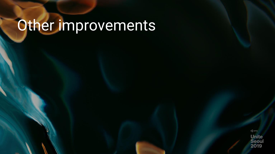# Other improvements

 $\triangle$  unity **Unite Seoul** 2019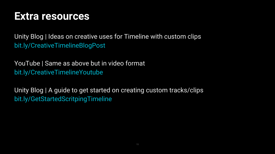#### **Extra resources**

Unity Blog | Ideas on creative uses for Timeline with custom clips bit.ly/CreativeTimelineBlogPost

YouTube | Same as above but in video format bit.ly/CreativeTimelineYoutube

Unity Blog | A guide to get started on creating custom tracks/clips bit.ly/GetStartedScritpingTimeline